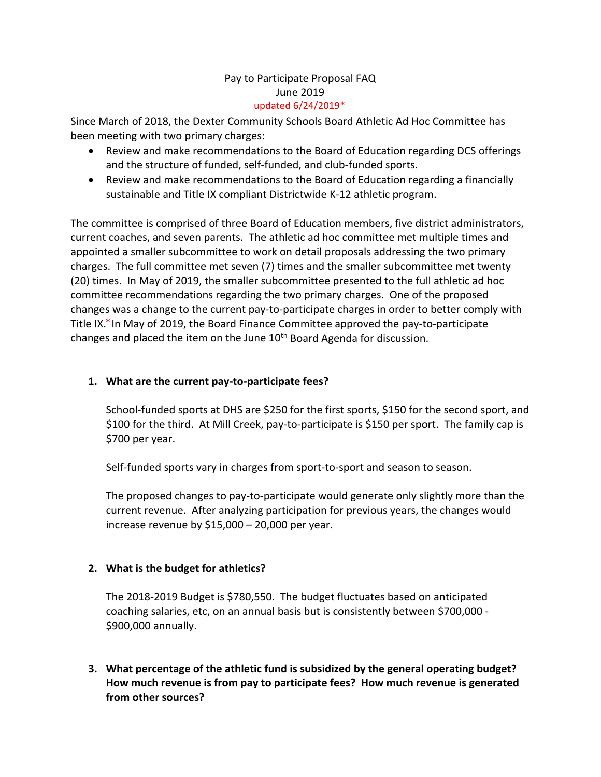### Pay to Participate Proposal FAQ June 2019 updated 6/24/2019\*

Since March of 2018, the Dexter Community Schools Board Athletic Ad Hoc Committee has been meeting with two primary charges:

- Review and make recommendations to the Board of Education regarding DCS offerings and the structure of funded, self-funded, and club-funded sports.
- Review and make recommendations to the Board of Education regarding a financially sustainable and Title IX compliant Districtwide K-12 athletic program.

The committee is comprised of three Board of Education members, five district administrators, current coaches, and seven parents. The athletic ad hoc committee met multiple times and appointed a smaller subcommittee to work on detail proposals addressing the two primary charges. The full committee met seven (7) times and the smaller subcommittee met twenty (20) times. In May of 2019, the smaller subcommittee presented to the full athletic ad hoc committee recommendations regarding the two primary charges. One of the proposed changes was a change to the current pay-to-participate charges in order to better comply with Title IX.\* In May of 2019, the Board Finance Committee approved the pay-to-participate changes and placed the item on the June 10<sup>th</sup> Board Agenda for discussion.

# **1. What are the current pay-to-participate fees?**

School-funded sports at DHS are \$250 for the first sports, \$150 for the second sport, and \$100 for the third. At Mill Creek, pay-to-participate is \$150 per sport. The family cap is \$700 per year.

Self-funded sports vary in charges from sport-to-sport and season to season.

The proposed changes to pay-to-participate would generate only slightly more than the current revenue. After analyzing participation for previous years, the changes would increase revenue by \$15,000 – 20,000 per year.

# **2. What is the budget for athletics?**

The 2018-2019 Budget is \$780,550. The budget fluctuates based on anticipated coaching salaries, etc, on an annual basis but is consistently between \$700,000 - \$900,000 annually.

**3. What percentage of the athletic fund is subsidized by the general operating budget? How much revenue is from pay to participate fees? How much revenue is generated from other sources?**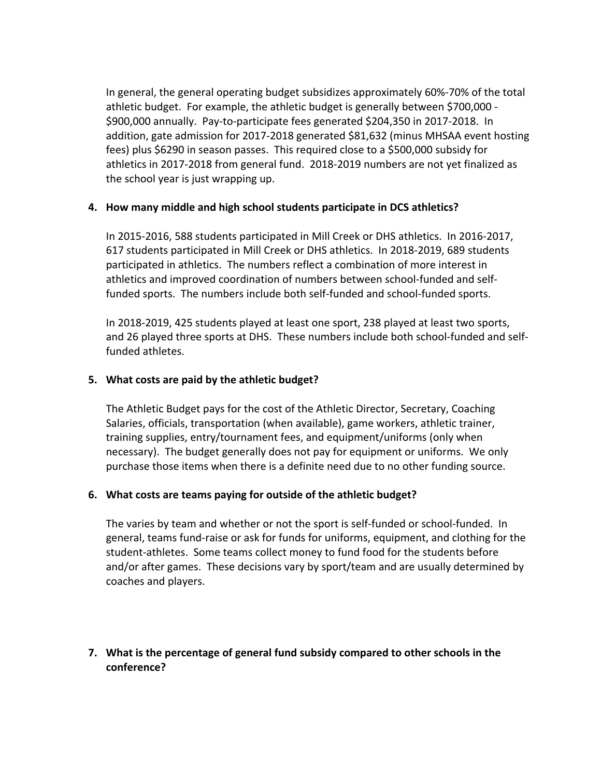In general, the general operating budget subsidizes approximately 60%-70% of the total athletic budget. For example, the athletic budget is generally between \$700,000 - \$900,000 annually. Pay-to-participate fees generated \$204,350 in 2017-2018. In addition, gate admission for 2017-2018 generated \$81,632 (minus MHSAA event hosting fees) plus \$6290 in season passes. This required close to a \$500,000 subsidy for athletics in 2017-2018 from general fund. 2018-2019 numbers are not yet finalized as the school year is just wrapping up.

### **4. How many middle and high school students participate in DCS athletics?**

In 2015-2016, 588 students participated in Mill Creek or DHS athletics. In 2016-2017, 617 students participated in Mill Creek or DHS athletics. In 2018-2019, 689 students participated in athletics. The numbers reflect a combination of more interest in athletics and improved coordination of numbers between school-funded and selffunded sports. The numbers include both self-funded and school-funded sports.

In 2018-2019, 425 students played at least one sport, 238 played at least two sports, and 26 played three sports at DHS. These numbers include both school-funded and selffunded athletes.

### **5. What costs are paid by the athletic budget?**

The Athletic Budget pays for the cost of the Athletic Director, Secretary, Coaching Salaries, officials, transportation (when available), game workers, athletic trainer, training supplies, entry/tournament fees, and equipment/uniforms (only when necessary). The budget generally does not pay for equipment or uniforms. We only purchase those items when there is a definite need due to no other funding source.

#### **6. What costs are teams paying for outside of the athletic budget?**

The varies by team and whether or not the sport is self-funded or school-funded. In general, teams fund-raise or ask for funds for uniforms, equipment, and clothing for the student-athletes. Some teams collect money to fund food for the students before and/or after games. These decisions vary by sport/team and are usually determined by coaches and players.

**7. What is the percentage of general fund subsidy compared to other schools in the conference?**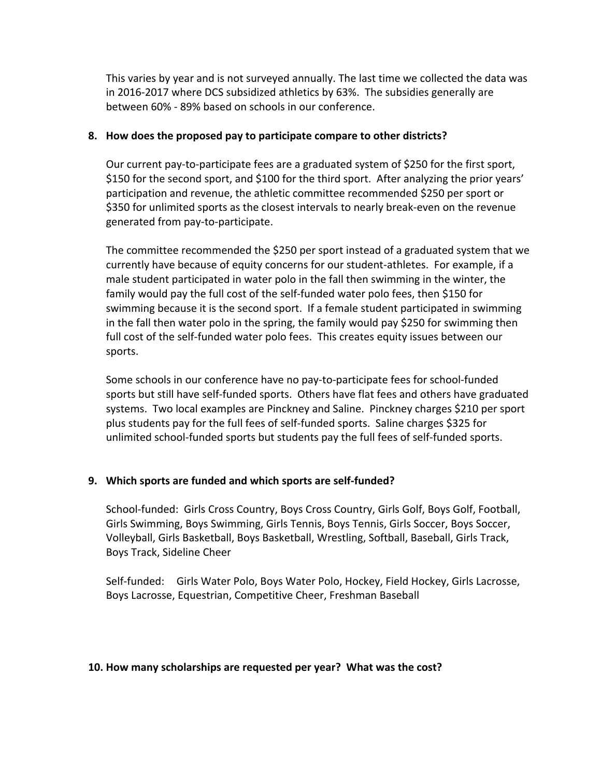This varies by year and is not surveyed annually. The last time we collected the data was in 2016-2017 where DCS subsidized athletics by 63%. The subsidies generally are between 60% - 89% based on schools in our conference.

### **8. How does the proposed pay to participate compare to other districts?**

Our current pay-to-participate fees are a graduated system of \$250 for the first sport, \$150 for the second sport, and \$100 for the third sport. After analyzing the prior years' participation and revenue, the athletic committee recommended \$250 per sport or \$350 for unlimited sports as the closest intervals to nearly break-even on the revenue generated from pay-to-participate.

The committee recommended the \$250 per sport instead of a graduated system that we currently have because of equity concerns for our student-athletes. For example, if a male student participated in water polo in the fall then swimming in the winter, the family would pay the full cost of the self-funded water polo fees, then \$150 for swimming because it is the second sport. If a female student participated in swimming in the fall then water polo in the spring, the family would pay \$250 for swimming then full cost of the self-funded water polo fees. This creates equity issues between our sports.

Some schools in our conference have no pay-to-participate fees for school-funded sports but still have self-funded sports. Others have flat fees and others have graduated systems. Two local examples are Pinckney and Saline. Pinckney charges \$210 per sport plus students pay for the full fees of self-funded sports. Saline charges \$325 for unlimited school-funded sports but students pay the full fees of self-funded sports.

# **9. Which sports are funded and which sports are self-funded?**

School-funded: Girls Cross Country, Boys Cross Country, Girls Golf, Boys Golf, Football, Girls Swimming, Boys Swimming, Girls Tennis, Boys Tennis, Girls Soccer, Boys Soccer, Volleyball, Girls Basketball, Boys Basketball, Wrestling, Softball, Baseball, Girls Track, Boys Track, Sideline Cheer

Self-funded: Girls Water Polo, Boys Water Polo, Hockey, Field Hockey, Girls Lacrosse, Boys Lacrosse, Equestrian, Competitive Cheer, Freshman Baseball

#### **10. How many scholarships are requested per year? What was the cost?**